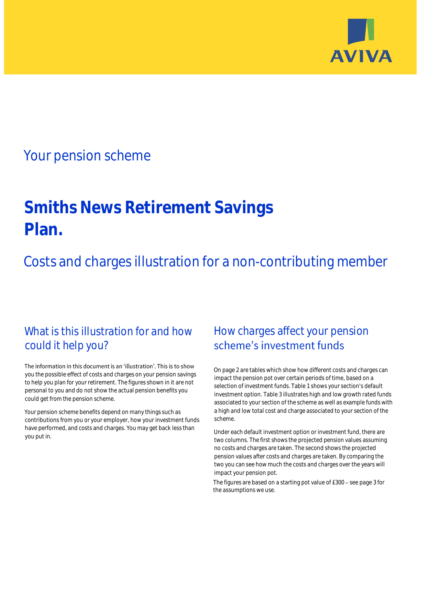

## Your pension scheme

# **Smiths News Retirement Savings Plan.**

Costs and charges illustration for a non-contributing member

### What is this illustration for and how could it help you?

#### The information in this document is an 'illustration'. This is to show you the possible effect of costs and charges on your pension savings to help you plan for your retirement. The figures shown in it are not personal to you and do not show the actual pension benefits you could get from the pension scheme.

Your pension scheme benefits depend on many things such as contributions from you or your employer, how your investment funds have performed, and costs and charges. You may get back less than you put in.

### How charges affect your pension scheme's investment funds

On page 2 are tables which show how different costs and charges can impact the pension pot over certain periods of time, based on a selection of investment funds. Table 1 shows your section's default investment option. Table 3 illustrates high and low growth rated funds associated to your section of the scheme as well as example funds with a high and low total cost and charge associated to your section of the scheme.

Under each default investment option or investment fund, there are two columns. The first shows the projected pension values assuming no costs and charges are taken. The second shows the projected pension values after costs and charges are taken. By comparing the two you can see how much the costs and charges over the years will impact your pension pot.

The figures are based on a starting pot value of  $£300 -$  see page 3 for the assumptions we use.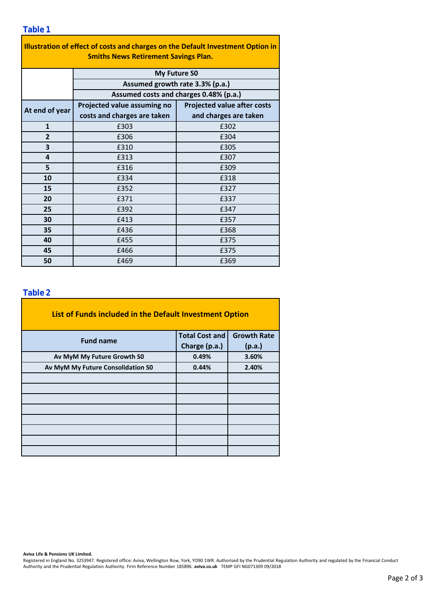#### **Table 1**

| Illustration of effect of costs and charges on the Default Investment Option in<br><b>Smiths News Retirement Savings Plan.</b> |                                                                                                  |                                    |  |  |  |  |  |  |
|--------------------------------------------------------------------------------------------------------------------------------|--------------------------------------------------------------------------------------------------|------------------------------------|--|--|--|--|--|--|
|                                                                                                                                | <b>My Future SO</b><br>Assumed growth rate 3.3% (p.a.)<br>Assumed costs and charges 0.48% (p.a.) |                                    |  |  |  |  |  |  |
|                                                                                                                                |                                                                                                  |                                    |  |  |  |  |  |  |
|                                                                                                                                |                                                                                                  |                                    |  |  |  |  |  |  |
| At end of year                                                                                                                 | Projected value assuming no                                                                      | <b>Projected value after costs</b> |  |  |  |  |  |  |
|                                                                                                                                | costs and charges are taken                                                                      | and charges are taken              |  |  |  |  |  |  |
| $\mathbf{1}$                                                                                                                   | £303                                                                                             | £302                               |  |  |  |  |  |  |
| $\overline{2}$                                                                                                                 | £306                                                                                             | £304                               |  |  |  |  |  |  |
| 3                                                                                                                              | £310                                                                                             | £305                               |  |  |  |  |  |  |
| 4                                                                                                                              | £313                                                                                             | £307                               |  |  |  |  |  |  |
| 5                                                                                                                              | £316                                                                                             | £309                               |  |  |  |  |  |  |
| 10                                                                                                                             | £334                                                                                             | £318                               |  |  |  |  |  |  |
| 15                                                                                                                             | £352                                                                                             | £327                               |  |  |  |  |  |  |
| 20                                                                                                                             | £371                                                                                             | £337                               |  |  |  |  |  |  |
| 25                                                                                                                             | £392                                                                                             | £347                               |  |  |  |  |  |  |
| 30                                                                                                                             | £413                                                                                             | £357                               |  |  |  |  |  |  |
| 35                                                                                                                             | £436                                                                                             | £368                               |  |  |  |  |  |  |
| 40                                                                                                                             | £455                                                                                             | £375                               |  |  |  |  |  |  |
| 45                                                                                                                             | £466                                                                                             | £375                               |  |  |  |  |  |  |
| 50                                                                                                                             | £469                                                                                             | £369                               |  |  |  |  |  |  |

#### **Table 2**

| Table 2                                                 |                       |                    |  |  |  |  |  |
|---------------------------------------------------------|-----------------------|--------------------|--|--|--|--|--|
| List of Funds included in the Default Investment Option |                       |                    |  |  |  |  |  |
| <b>Fund name</b>                                        | <b>Total Cost and</b> | <b>Growth Rate</b> |  |  |  |  |  |
|                                                         | Charge (p.a.)         | (p.a.)             |  |  |  |  |  |
| Av MyM My Future Growth S0                              | 0.49%                 | 3.60%              |  |  |  |  |  |
| Av MyM My Future Consolidation S0                       | 0.44%                 | 2.40%              |  |  |  |  |  |
|                                                         |                       |                    |  |  |  |  |  |
|                                                         |                       |                    |  |  |  |  |  |
|                                                         |                       |                    |  |  |  |  |  |
|                                                         |                       |                    |  |  |  |  |  |
|                                                         |                       |                    |  |  |  |  |  |
|                                                         |                       |                    |  |  |  |  |  |
|                                                         |                       |                    |  |  |  |  |  |
|                                                         |                       |                    |  |  |  |  |  |

**Aviva Life & Pensions UK Limited.**

Registered in England No. 3253947. Registered office: Aviva, Wellington Row, York, YO90 1WR. Authorised by the Prudential Regulation Authority and regulated by the Financial Conduct Authority and the Prudential Regulation Authority. Firm Reference Number 185896. **aviva.co.uk** TEMP GFI NG071309 09/2018